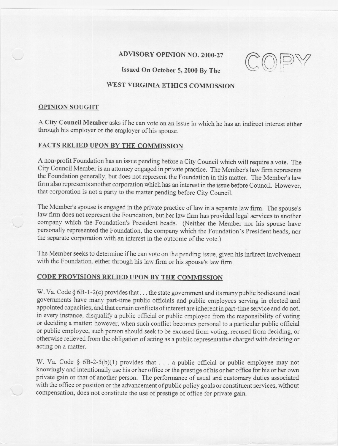## ADVISORY OPINION NO. 2000-27

---

Issued On October 5, 2000 By The

# WEST VIRGINIA ETHICS COMMISSION

### OPINION SOUGHT

A City Council Member asks if he can vote on an issue in which he has an indirect interest either through his employer or the employer of his spouse.

# FACTS RELIED UPON BY THE COMMISSION

A non-profit Foundation has an issue pending before a City Council which will require a vote. The City Council Member is an attorney engaged in private practice. The Member's law firm represents the Foundation generally, but does not represent the Foundation in this matter. The Member's law firm also represents another corporation which has an interest in the issue before Council. However, that corporation is not a party to the matter pending before City Council.

The Member's spouse is engaged in the private practice of law in a separate law firm. The spouse's law firm does not represent the Foundation, but ber law firm has provided legal services to another company which the Foundation's President heads. (Neither the Member nor his spouse have personally represented the Foundation, the company which the Foundation's President heads, nor the separate corporation with an interest in the outcome of the vote.)

The Member seeks to determine if he can vote on the pending issue, given his indirect involvement with the Foundation, either through his law firm or his spouse's law firm.

### CODE PROVISIONS RELIED UPON BY THE COMMISSION

W. Va. Code § 6B-1-2(c) provides that . . . the state government and its many public bodies and local governments have many part-time public officials and public employees serving in elected and appointed capacities; and that certain conflicts of interest are inherent in part-time service and do not, in every instance, disqualify a public official or public employee from the responsibility of voting or deciding a matter; however, when such conflict becomes personal to a particular public official or public employee, such person should seek to be excused from voting, recused from deciding, or otherwise relieved from the obligation of acting as a public representative charged with deciding or acting on a matter.

W. Va. Code § 6B-2-5(b)(1) provides that . . . a public official or public employee may not knowingly and intentionally use his or her office or the prestige of his or her office for his or her own private gain or that of another person. The performance of usual and customary duties associated with the office or position or the advancement of public policy goals or constituent services, without compensation, does not constitute the use of prestige of office for private gain.